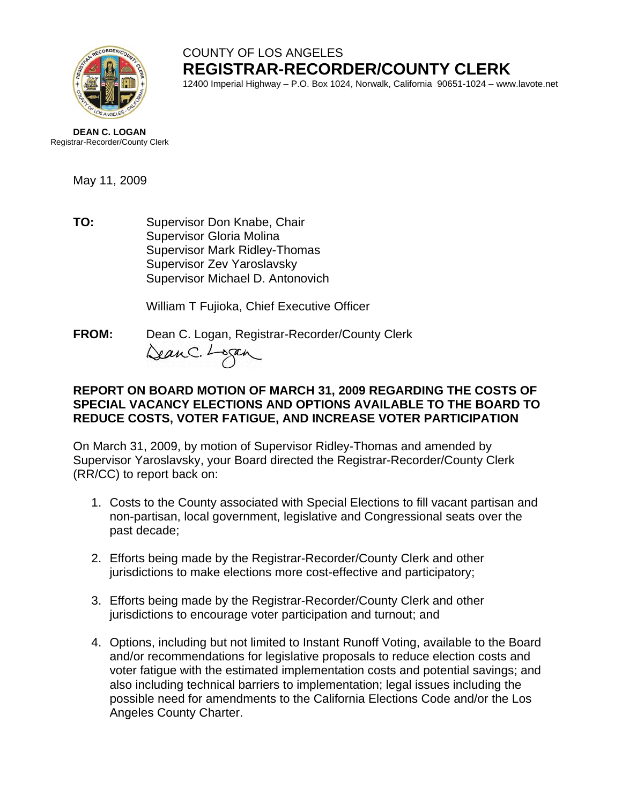

# COUNTY OF LOS ANGELES **REGISTRAR-RECORDER/COUNTY CLERK**

12400 Imperial Highway – P.O. Box 1024, Norwalk, California 90651-1024 – www.lavote.net

**DEAN C. LOGAN** Registrar-Recorder/County Clerk

May 11, 2009

**TO:** Supervisor Don Knabe, Chair Supervisor Gloria Molina Supervisor Mark Ridley-Thomas Supervisor Zev Yaroslavsky Supervisor Michael D. Antonovich

William T Fujioka, Chief Executive Officer

**FROM:** Dean C. Logan, Registrar-Recorder/County Clerk DeanC. Logan

### **REPORT ON BOARD MOTION OF MARCH 31, 2009 REGARDING THE COSTS OF SPECIAL VACANCY ELECTIONS AND OPTIONS AVAILABLE TO THE BOARD TO REDUCE COSTS, VOTER FATIGUE, AND INCREASE VOTER PARTICIPATION**

On March 31, 2009, by motion of Supervisor Ridley-Thomas and amended by Supervisor Yaroslavsky, your Board directed the Registrar-Recorder/County Clerk (RR/CC) to report back on:

- 1. Costs to the County associated with Special Elections to fill vacant partisan and non-partisan, local government, legislative and Congressional seats over the past decade;
- 2. Efforts being made by the Registrar-Recorder/County Clerk and other jurisdictions to make elections more cost-effective and participatory;
- 3. Efforts being made by the Registrar-Recorder/County Clerk and other jurisdictions to encourage voter participation and turnout; and
- 4. Options, including but not limited to Instant Runoff Voting, available to the Board and/or recommendations for legislative proposals to reduce election costs and voter fatigue with the estimated implementation costs and potential savings; and also including technical barriers to implementation; legal issues including the possible need for amendments to the California Elections Code and/or the Los Angeles County Charter.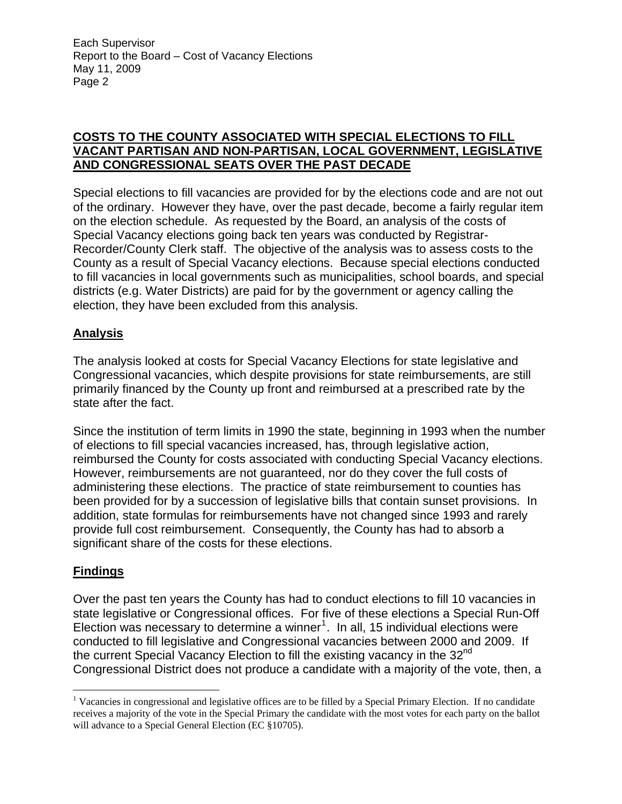### **COSTS TO THE COUNTY ASSOCIATED WITH SPECIAL ELECTIONS TO FILL VACANT PARTISAN AND NON-PARTISAN, LOCAL GOVERNMENT, LEGISLATIVE AND CONGRESSIONAL SEATS OVER THE PAST DECADE**

Special elections to fill vacancies are provided for by the elections code and are not out of the ordinary. However they have, over the past decade, become a fairly regular item on the election schedule. As requested by the Board, an analysis of the costs of Special Vacancy elections going back ten years was conducted by Registrar-Recorder/County Clerk staff. The objective of the analysis was to assess costs to the County as a result of Special Vacancy elections. Because special elections conducted to fill vacancies in local governments such as municipalities, school boards, and special districts (e.g. Water Districts) are paid for by the government or agency calling the election, they have been excluded from this analysis.

# **Analysis**

The analysis looked at costs for Special Vacancy Elections for state legislative and Congressional vacancies, which despite provisions for state reimbursements, are still primarily financed by the County up front and reimbursed at a prescribed rate by the state after the fact.

Since the institution of term limits in 1990 the state, beginning in 1993 when the number of elections to fill special vacancies increased, has, through legislative action, reimbursed the County for costs associated with conducting Special Vacancy elections. However, reimbursements are not guaranteed, nor do they cover the full costs of administering these elections. The practice of state reimbursement to counties has been provided for by a succession of legislative bills that contain sunset provisions. In addition, state formulas for reimbursements have not changed since 1993 and rarely provide full cost reimbursement. Consequently, the County has had to absorb a significant share of the costs for these elections.

# **Findings**

 $\overline{a}$ 

Over the past ten years the County has had to conduct elections to fill 10 vacancies in state legislative or Congressional offices. For five of these elections a Special Run-Off Election was necessary to determine a winner<sup>[1](#page-1-0)</sup>. In all, 15 individual elections were conducted to fill legislative and Congressional vacancies between 2000 and 2009. If the current Special Vacancy Election to fill the existing vacancy in the 32<sup>nd</sup> Congressional District does not produce a candidate with a majority of the vote, then, a

<span id="page-1-0"></span><sup>&</sup>lt;sup>1</sup> Vacancies in congressional and legislative offices are to be filled by a Special Primary Election. If no candidate receives a majority of the vote in the Special Primary the candidate with the most votes for each party on the ballot will advance to a Special General Election (EC §10705).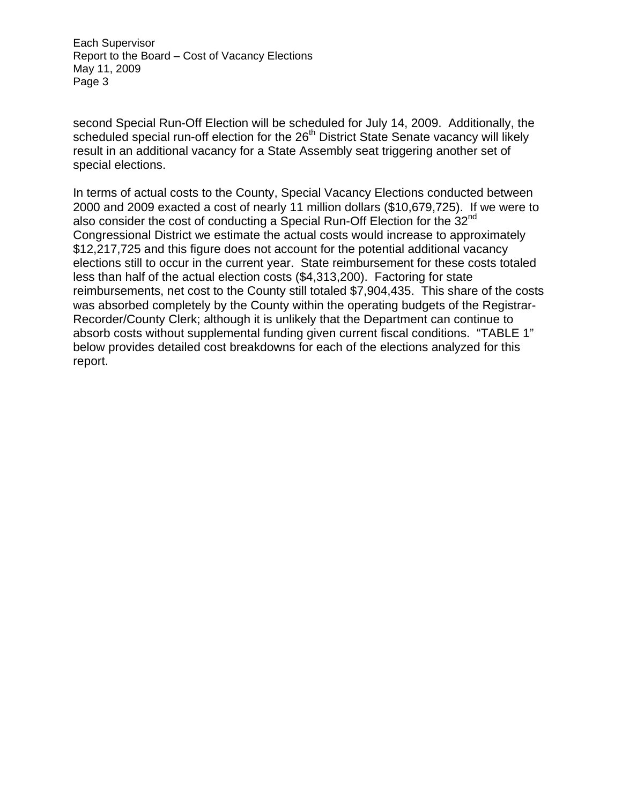second Special Run-Off Election will be scheduled for July 14, 2009. Additionally, the scheduled special run-off election for the 26<sup>th</sup> District State Senate vacancy will likely result in an additional vacancy for a State Assembly seat triggering another set of special elections.

In terms of actual costs to the County, Special Vacancy Elections conducted between 2000 and 2009 exacted a cost of nearly 11 million dollars (\$10,679,725). If we were to also consider the cost of conducting a Special Run-Off Election for the  $32<sup>nd</sup>$ Congressional District we estimate the actual costs would increase to approximately \$12,217,725 and this figure does not account for the potential additional vacancy elections still to occur in the current year. State reimbursement for these costs totaled less than half of the actual election costs (\$4,313,200). Factoring for state reimbursements, net cost to the County still totaled \$7,904,435. This share of the costs was absorbed completely by the County within the operating budgets of the Registrar-Recorder/County Clerk; although it is unlikely that the Department can continue to absorb costs without supplemental funding given current fiscal conditions. "TABLE 1" below provides detailed cost breakdowns for each of the elections analyzed for this report.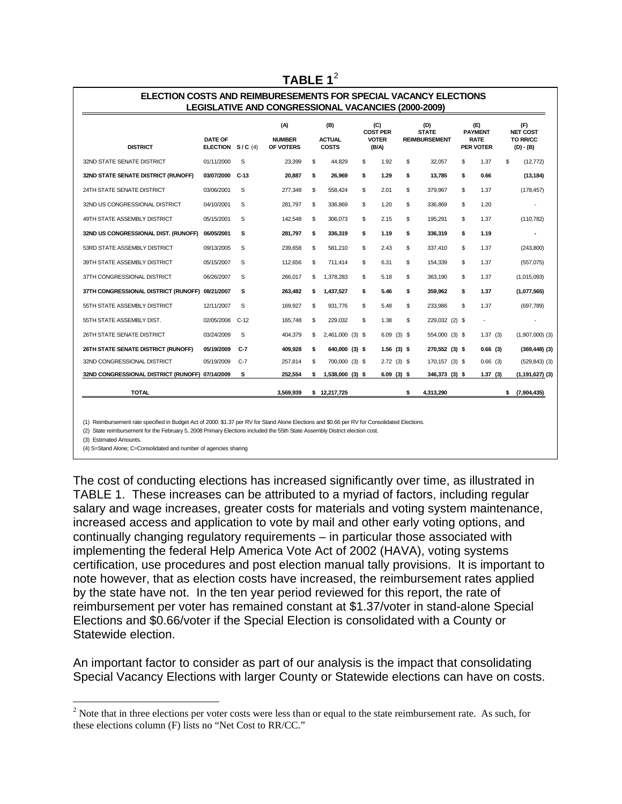| <b>DISTRICT</b>                                 | <b>DATE OF</b><br><b>ELECTION</b> | S/C(4) | (A)<br><b>NUMBER</b><br>OF VOTERS | (B)<br><b>ACTUAL</b><br><b>COSTS</b> |                  | (C)<br><b>COST PER</b><br><b>VOTER</b><br>(B/A) |    |                  | (D)<br><b>STATE</b><br><b>REIMBURSEMENT</b> |                | (E)<br><b>PAYMENT</b><br><b>RATE</b><br><b>PER VOTER</b> |            | (F)<br><b>NET COST</b><br>TO RR/CC<br>$(D) - (B)$ |                     |
|-------------------------------------------------|-----------------------------------|--------|-----------------------------------|--------------------------------------|------------------|-------------------------------------------------|----|------------------|---------------------------------------------|----------------|----------------------------------------------------------|------------|---------------------------------------------------|---------------------|
| 32ND STATE SENATE DISTRICT                      | 01/11/2000                        | S      | 23,399                            | S                                    | 44.829           |                                                 | \$ | 1.92             | \$                                          | 32.057         | \$                                                       | 1.37       | \$                                                | (12, 772)           |
| 32ND STATE SENATE DISTRICT (RUNOFF)             | 03/07/2000                        | $C-13$ | 20.887                            | s                                    | 26.969           |                                                 | \$ | 1.29             | \$                                          | 13,785         | \$                                                       | 0.66       |                                                   | (13, 184)           |
| 24TH STATE SENATE DISTRICT                      | 03/06/2001                        | S      | 277,348                           | S                                    | 558,424          |                                                 | \$ | 2.01             | \$                                          | 379,967        | \$                                                       | 1.37       |                                                   | (178, 457)          |
| 32ND US CONGRESSIONAL DISTRICT                  | 04/10/2001                        | S      | 281,797                           | \$                                   | 336,869          |                                                 | \$ | 1.20             | \$                                          | 336,869        | \$                                                       | 1.20       |                                                   |                     |
| 49TH STATE ASSEMBLY DISTRICT                    | 05/15/2001                        | S      | 142.548                           | S                                    | 306.073          |                                                 | \$ | 2.15             | \$                                          | 195.291        | \$                                                       | 1.37       |                                                   | (110, 782)          |
| 32ND US CONGRESSIONAL DIST. (RUNOFF)            | 06/05/2001                        | s      | 281.797                           | s                                    | 336.319          |                                                 | \$ | 1.19             | \$                                          | 336.319        | \$                                                       | 1.19       |                                                   |                     |
| 53RD STATE ASSEMBLY DISTRICT                    | 09/13/2005                        | S      | 239,658                           | S                                    | 581,210          |                                                 | \$ | 2.43             | \$                                          | 337.410        | \$                                                       | 1.37       |                                                   | (243, 800)          |
| 39TH STATE ASSEMBLY DISTRICT                    | 05/15/2007                        | S      | 112,656                           | S                                    | 711,414          |                                                 | \$ | 6.31             | \$                                          | 154,339        | \$                                                       | 1.37       |                                                   | (557,075)           |
| 37TH CONGRESSIONAL DISTRICT                     | 06/26/2007                        | S      | 266.017                           | \$                                   | 1.378.283        |                                                 | \$ | 5.18             | \$                                          | 363.190        | \$                                                       | 1.37       |                                                   | (1,015,093)         |
| 37TH CONGRESSIONAL DISTRICT (RUNOFF) 08/21/2007 |                                   | s      | 263,482                           | \$                                   | 1,437,527        |                                                 | \$ | 5.46             | \$                                          | 359.962        | \$                                                       | 1.37       |                                                   | (1,077,565)         |
| 55TH STATE ASSEMBLY DISTRICT                    | 12/11/2007                        | S      | 169,927                           | \$                                   | 931,776          |                                                 | \$ | 5.48             | \$                                          | 233.986        | \$                                                       | 1.37       |                                                   | (697,789)           |
| 55TH STATE ASSEMBLY DIST.                       | 02/05/2008                        | $C-12$ | 165.748                           | S                                    | 229.032          |                                                 | \$ | 1.38             | \$                                          | 229,032 (2) \$ |                                                          |            |                                                   |                     |
| <b>26TH STATE SENATE DISTRICT</b>               | 03/24/2009                        | S      | 404,379                           | S                                    | 2,461,000 (3) \$ |                                                 |    | $(3)$ \$<br>6.09 |                                             | 554,000 (3) \$ |                                                          | 1.37(3)    |                                                   | $(1,907,000)$ (3)   |
| 26TH STATE SENATE DISTRICT (RUNOFF)             | 05/19/2009                        | $C-7$  | 409.928                           | s                                    | 640,000 (3) \$   |                                                 |    | $1.56(3)$ \$     |                                             | 270,552 (3) \$ |                                                          | 0.66(3)    |                                                   | $(369, 448)$ $(3)$  |
| 32ND CONGRESSIONAL DISTRICT                     | 05/19/2009                        | $C-7$  | 257,814                           | \$                                   | 700,000 (3) \$   |                                                 |    | $2.72(3)$ \$     |                                             | 170,157 (3) \$ |                                                          | $0.66$ (3) |                                                   | $(529, 843)$ $(3)$  |
| 32ND CONGRESSIONAL DISTRICT (RUNOFF) 07/14/2009 |                                   | s      | 252,554                           | \$                                   | 1,538,000 (3) \$ |                                                 |    | $6.09(3)$ \$     |                                             | 346,373 (3) \$ |                                                          | 1.37(3)    |                                                   | $(1, 191, 627)$ (3) |

#### **TABLE 1<sup>[2](#page-3-0)</sup>**

(1) Reimbursement rate specified in Budget Act of 2000: \$1.37 per RV for Stand Alone Elections and \$0.66 per RV for Consolidated Elections.

(2) State reimbursement for the February 5, 2008 Primary Elections included the 55th State Assembly District election cost.

(3) Estimated Amounts.

1

(4) S=Stand Alone; C=Consolidated and number of agencies sharing

The cost of conducting elections has increased significantly over time, as illustrated in TABLE 1. These increases can be attributed to a myriad of factors, including regular salary and wage increases, greater costs for materials and voting system maintenance, increased access and application to vote by mail and other early voting options, and continually changing regulatory requirements – in particular those associated with implementing the federal Help America Vote Act of 2002 (HAVA), voting systems certification, use procedures and post election manual tally provisions. It is important to note however, that as election costs have increased, the reimbursement rates applied by the state have not. In the ten year period reviewed for this report, the rate of reimbursement per voter has remained constant at \$1.37/voter in stand-alone Special Elections and \$0.66/voter if the Special Election is consolidated with a County or Statewide election.

An important factor to consider as part of our analysis is the impact that consolidating Special Vacancy Elections with larger County or Statewide elections can have on costs.

<span id="page-3-0"></span> $2<sup>2</sup>$  Note that in three elections per voter costs were less than or equal to the state reimbursement rate. As such, for these elections column (F) lists no "Net Cost to RR/CC."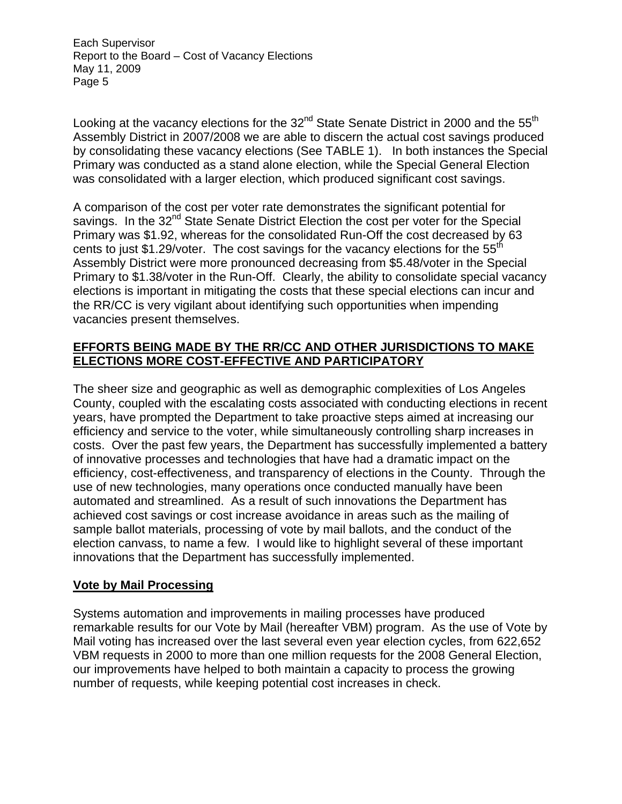Looking at the vacancy elections for the 32<sup>nd</sup> State Senate District in 2000 and the 55<sup>th</sup> Assembly District in 2007/2008 we are able to discern the actual cost savings produced by consolidating these vacancy elections (See TABLE 1). In both instances the Special Primary was conducted as a stand alone election, while the Special General Election was consolidated with a larger election, which produced significant cost savings.

A comparison of the cost per voter rate demonstrates the significant potential for savings. In the 32<sup>nd</sup> State Senate District Election the cost per voter for the Special Primary was \$1.92, whereas for the consolidated Run-Off the cost decreased by 63 cents to just \$1.29/voter. The cost savings for the vacancy elections for the  $55<sup>th</sup>$ Assembly District were more pronounced decreasing from \$5.48/voter in the Special Primary to \$1.38/voter in the Run-Off. Clearly, the ability to consolidate special vacancy elections is important in mitigating the costs that these special elections can incur and the RR/CC is very vigilant about identifying such opportunities when impending vacancies present themselves.

### **EFFORTS BEING MADE BY THE RR/CC AND OTHER JURISDICTIONS TO MAKE ELECTIONS MORE COST-EFFECTIVE AND PARTICIPATORY**

The sheer size and geographic as well as demographic complexities of Los Angeles County, coupled with the escalating costs associated with conducting elections in recent years, have prompted the Department to take proactive steps aimed at increasing our efficiency and service to the voter, while simultaneously controlling sharp increases in costs. Over the past few years, the Department has successfully implemented a battery of innovative processes and technologies that have had a dramatic impact on the efficiency, cost-effectiveness, and transparency of elections in the County. Through the use of new technologies, many operations once conducted manually have been automated and streamlined. As a result of such innovations the Department has achieved cost savings or cost increase avoidance in areas such as the mailing of sample ballot materials, processing of vote by mail ballots, and the conduct of the election canvass, to name a few. I would like to highlight several of these important innovations that the Department has successfully implemented.

# **Vote by Mail Processing**

Systems automation and improvements in mailing processes have produced remarkable results for our Vote by Mail (hereafter VBM) program. As the use of Vote by Mail voting has increased over the last several even year election cycles, from 622,652 VBM requests in 2000 to more than one million requests for the 2008 General Election, our improvements have helped to both maintain a capacity to process the growing number of requests, while keeping potential cost increases in check.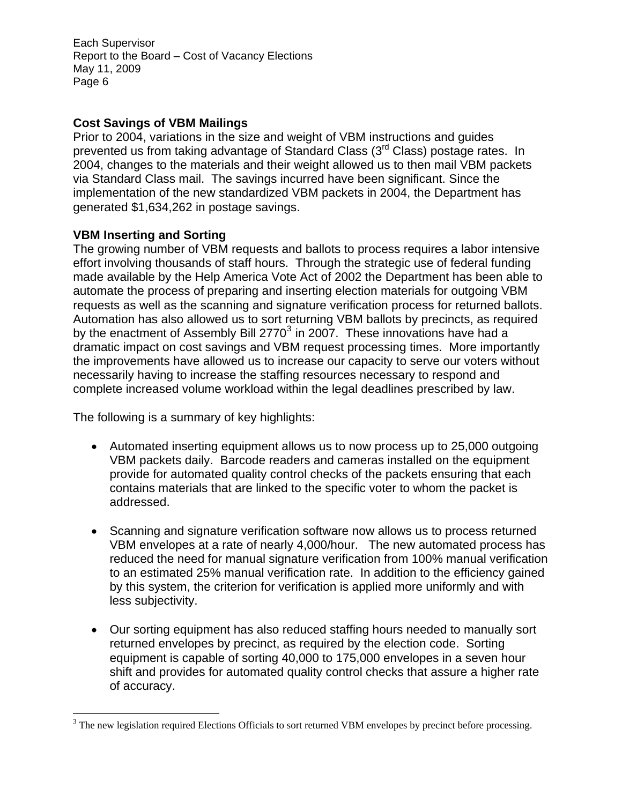# **Cost Savings of VBM Mailings**

Prior to 2004, variations in the size and weight of VBM instructions and guides prevented us from taking advantage of Standard Class (3<sup>rd</sup> Class) postage rates. In 2004, changes to the materials and their weight allowed us to then mail VBM packets via Standard Class mail. The savings incurred have been significant. Since the implementation of the new standardized VBM packets in 2004, the Department has generated \$1,634,262 in postage savings.

### **VBM Inserting and Sorting**

 $\overline{a}$ 

The growing number of VBM requests and ballots to process requires a labor intensive effort involving thousands of staff hours. Through the strategic use of federal funding made available by the Help America Vote Act of 2002 the Department has been able to automate the process of preparing and inserting election materials for outgoing VBM requests as well as the scanning and signature verification process for returned ballots. Automation has also allowed us to sort returning VBM ballots by precincts, as required by the enactment of Assembly Bill 2770<sup>[3](#page-5-0)</sup> in 2007. These innovations have had a dramatic impact on cost savings and VBM request processing times. More importantly the improvements have allowed us to increase our capacity to serve our voters without necessarily having to increase the staffing resources necessary to respond and complete increased volume workload within the legal deadlines prescribed by law.

The following is a summary of key highlights:

- Automated inserting equipment allows us to now process up to 25,000 outgoing VBM packets daily. Barcode readers and cameras installed on the equipment provide for automated quality control checks of the packets ensuring that each contains materials that are linked to the specific voter to whom the packet is addressed.
- Scanning and signature verification software now allows us to process returned VBM envelopes at a rate of nearly 4,000/hour. The new automated process has reduced the need for manual signature verification from 100% manual verification to an estimated 25% manual verification rate. In addition to the efficiency gained by this system, the criterion for verification is applied more uniformly and with less subjectivity.
- Our sorting equipment has also reduced staffing hours needed to manually sort returned envelopes by precinct, as required by the election code. Sorting equipment is capable of sorting 40,000 to 175,000 envelopes in a seven hour shift and provides for automated quality control checks that assure a higher rate of accuracy.

<span id="page-5-0"></span> $3$  The new legislation required Elections Officials to sort returned VBM envelopes by precinct before processing.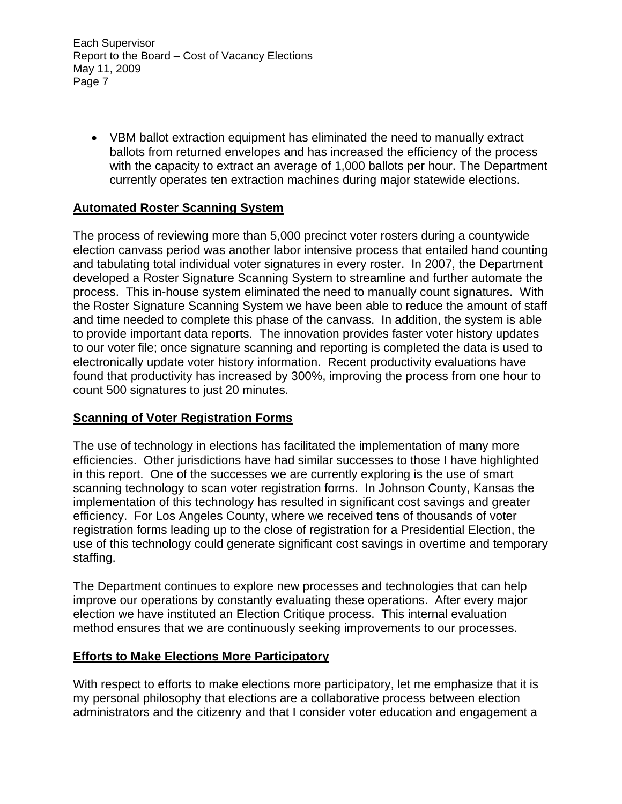• VBM ballot extraction equipment has eliminated the need to manually extract ballots from returned envelopes and has increased the efficiency of the process with the capacity to extract an average of 1,000 ballots per hour. The Department currently operates ten extraction machines during major statewide elections.

# **Automated Roster Scanning System**

The process of reviewing more than 5,000 precinct voter rosters during a countywide election canvass period was another labor intensive process that entailed hand counting and tabulating total individual voter signatures in every roster. In 2007, the Department developed a Roster Signature Scanning System to streamline and further automate the process. This in-house system eliminated the need to manually count signatures. With the Roster Signature Scanning System we have been able to reduce the amount of staff and time needed to complete this phase of the canvass. In addition, the system is able to provide important data reports. The innovation provides faster voter history updates to our voter file; once signature scanning and reporting is completed the data is used to electronically update voter history information. Recent productivity evaluations have found that productivity has increased by 300%, improving the process from one hour to count 500 signatures to just 20 minutes.

#### **Scanning of Voter Registration Forms**

The use of technology in elections has facilitated the implementation of many more efficiencies. Other jurisdictions have had similar successes to those I have highlighted in this report. One of the successes we are currently exploring is the use of smart scanning technology to scan voter registration forms. In Johnson County, Kansas the implementation of this technology has resulted in significant cost savings and greater efficiency. For Los Angeles County, where we received tens of thousands of voter registration forms leading up to the close of registration for a Presidential Election, the use of this technology could generate significant cost savings in overtime and temporary staffing.

The Department continues to explore new processes and technologies that can help improve our operations by constantly evaluating these operations. After every major election we have instituted an Election Critique process. This internal evaluation method ensures that we are continuously seeking improvements to our processes.

#### **Efforts to Make Elections More Participatory**

With respect to efforts to make elections more participatory, let me emphasize that it is my personal philosophy that elections are a collaborative process between election administrators and the citizenry and that I consider voter education and engagement a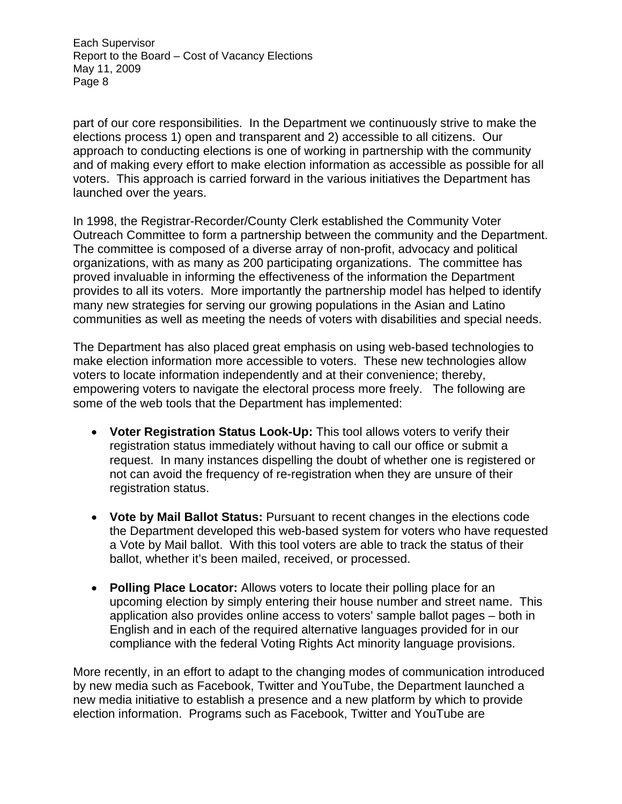part of our core responsibilities. In the Department we continuously strive to make the elections process 1) open and transparent and 2) accessible to all citizens. Our approach to conducting elections is one of working in partnership with the community and of making every effort to make election information as accessible as possible for all voters. This approach is carried forward in the various initiatives the Department has launched over the years.

In 1998, the Registrar-Recorder/County Clerk established the Community Voter Outreach Committee to form a partnership between the community and the Department. The committee is composed of a diverse array of non-profit, advocacy and political organizations, with as many as 200 participating organizations. The committee has proved invaluable in informing the effectiveness of the information the Department provides to all its voters. More importantly the partnership model has helped to identify many new strategies for serving our growing populations in the Asian and Latino communities as well as meeting the needs of voters with disabilities and special needs.

The Department has also placed great emphasis on using web-based technologies to make election information more accessible to voters. These new technologies allow voters to locate information independently and at their convenience; thereby, empowering voters to navigate the electoral process more freely. The following are some of the web tools that the Department has implemented:

- **Voter Registration Status Look-Up:** This tool allows voters to verify their registration status immediately without having to call our office or submit a request. In many instances dispelling the doubt of whether one is registered or not can avoid the frequency of re-registration when they are unsure of their registration status.
- **Vote by Mail Ballot Status:** Pursuant to recent changes in the elections code the Department developed this web-based system for voters who have requested a Vote by Mail ballot. With this tool voters are able to track the status of their ballot, whether it's been mailed, received, or processed.
- **Polling Place Locator:** Allows voters to locate their polling place for an upcoming election by simply entering their house number and street name. This application also provides online access to voters' sample ballot pages – both in English and in each of the required alternative languages provided for in our compliance with the federal Voting Rights Act minority language provisions.

More recently, in an effort to adapt to the changing modes of communication introduced by new media such as Facebook, Twitter and YouTube, the Department launched a new media initiative to establish a presence and a new platform by which to provide election information. Programs such as Facebook, Twitter and YouTube are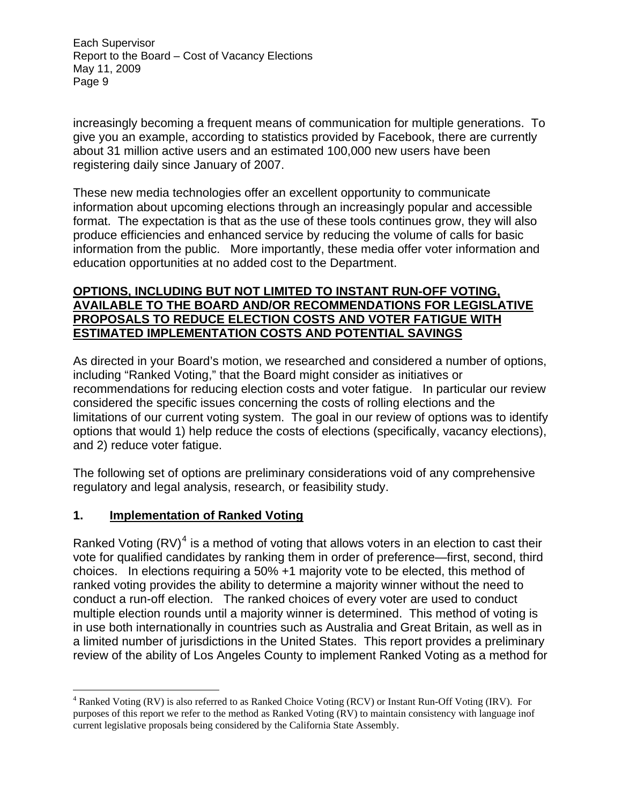increasingly becoming a frequent means of communication for multiple generations. To give you an example, according to statistics provided by Facebook, there are currently about 31 million active users and an estimated 100,000 new users have been registering daily since January of 2007.

These new media technologies offer an excellent opportunity to communicate information about upcoming elections through an increasingly popular and accessible format. The expectation is that as the use of these tools continues grow, they will also produce efficiencies and enhanced service by reducing the volume of calls for basic information from the public. More importantly, these media offer voter information and education opportunities at no added cost to the Department.

### **OPTIONS, INCLUDING BUT NOT LIMITED TO INSTANT RUN-OFF VOTING, AVAILABLE TO THE BOARD AND/OR RECOMMENDATIONS FOR LEGISLATIVE PROPOSALS TO REDUCE ELECTION COSTS AND VOTER FATIGUE WITH ESTIMATED IMPLEMENTATION COSTS AND POTENTIAL SAVINGS**

As directed in your Board's motion, we researched and considered a number of options, including "Ranked Voting," that the Board might consider as initiatives or recommendations for reducing election costs and voter fatigue. In particular our review considered the specific issues concerning the costs of rolling elections and the limitations of our current voting system. The goal in our review of options was to identify options that would 1) help reduce the costs of elections (specifically, vacancy elections), and 2) reduce voter fatigue.

The following set of options are preliminary considerations void of any comprehensive regulatory and legal analysis, research, or feasibility study.

# **1. Implementation of Ranked Voting**

 $\overline{a}$ 

Ranked Voting (RV)<sup>[4](#page-8-0)</sup> is a method of voting that allows voters in an election to cast their vote for qualified candidates by ranking them in order of preference—first, second, third choices. In elections requiring a 50% +1 majority vote to be elected, this method of ranked voting provides the ability to determine a majority winner without the need to conduct a run-off election. The ranked choices of every voter are used to conduct multiple election rounds until a majority winner is determined. This method of voting is in use both internationally in countries such as Australia and Great Britain, as well as in a limited number of jurisdictions in the United States. This report provides a preliminary review of the ability of Los Angeles County to implement Ranked Voting as a method for

<span id="page-8-0"></span><sup>&</sup>lt;sup>4</sup> Ranked Voting (RV) is also referred to as Ranked Choice Voting (RCV) or Instant Run-Off Voting (IRV). For purposes of this report we refer to the method as Ranked Voting (RV) to maintain consistency with language inof current legislative proposals being considered by the California State Assembly.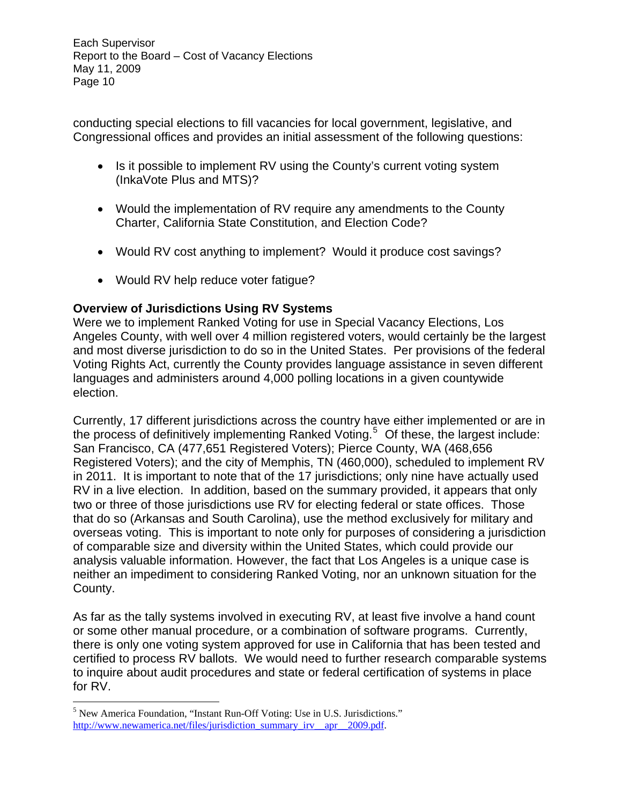conducting special elections to fill vacancies for local government, legislative, and Congressional offices and provides an initial assessment of the following questions:

- Is it possible to implement RV using the County's current voting system (InkaVote Plus and MTS)?
- Would the implementation of RV require any amendments to the County Charter, California State Constitution, and Election Code?
- Would RV cost anything to implement? Would it produce cost savings?
- Would RV help reduce voter fatigue?

# **Overview of Jurisdictions Using RV Systems**

Were we to implement Ranked Voting for use in Special Vacancy Elections, Los Angeles County, with well over 4 million registered voters, would certainly be the largest and most diverse jurisdiction to do so in the United States. Per provisions of the federal Voting Rights Act, currently the County provides language assistance in seven different languages and administers around 4,000 polling locations in a given countywide election.

Currently, 17 different jurisdictions across the country have either implemented or are in the process of definitively implementing Ranked Voting.<sup>[5](#page-9-0)</sup> Of these, the largest include: San Francisco, CA (477,651 Registered Voters); Pierce County, WA (468,656 Registered Voters); and the city of Memphis, TN (460,000), scheduled to implement RV in 2011. It is important to note that of the 17 jurisdictions; only nine have actually used RV in a live election. In addition, based on the summary provided, it appears that only two or three of those jurisdictions use RV for electing federal or state offices. Those that do so (Arkansas and South Carolina), use the method exclusively for military and overseas voting. This is important to note only for purposes of considering a jurisdiction of comparable size and diversity within the United States, which could provide our analysis valuable information. However, the fact that Los Angeles is a unique case is neither an impediment to considering Ranked Voting, nor an unknown situation for the County.

As far as the tally systems involved in executing RV, at least five involve a hand count or some other manual procedure, or a combination of software programs. Currently, there is only one voting system approved for use in California that has been tested and certified to process RV ballots. We would need to further research comparable systems to inquire about audit procedures and state or federal certification of systems in place for RV.

 $\overline{a}$ 

<span id="page-9-0"></span><sup>&</sup>lt;sup>5</sup> New America Foundation, "Instant Run-Off Voting: Use in U.S. Jurisdictions." [http://www.newamerica.net/files/jurisdiction\\_summary\\_irv\\_\\_apr\\_\\_2009.pdf](http://www.newamerica.net/files/jurisdiction_summary_irv__apr__2009.pdf).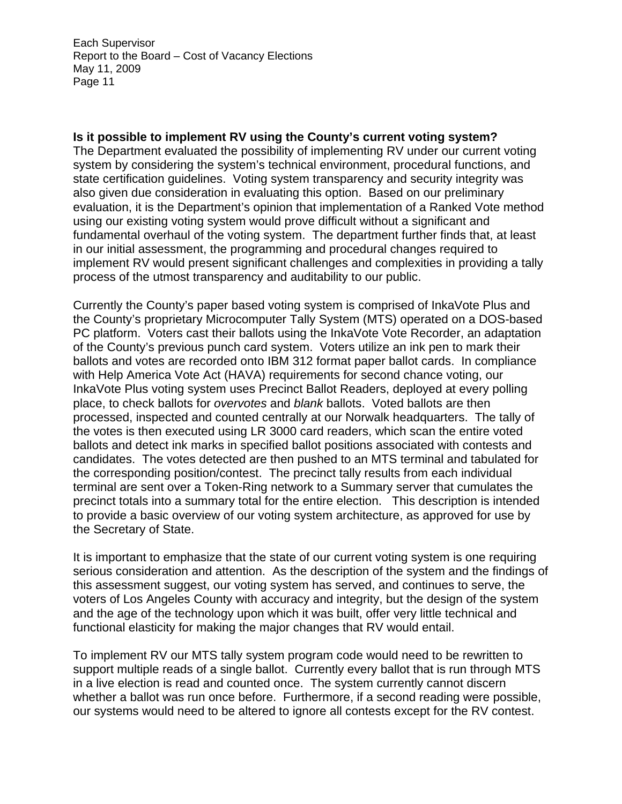#### **Is it possible to implement RV using the County's current voting system?**

The Department evaluated the possibility of implementing RV under our current voting system by considering the system's technical environment, procedural functions, and state certification guidelines. Voting system transparency and security integrity was also given due consideration in evaluating this option. Based on our preliminary evaluation, it is the Department's opinion that implementation of a Ranked Vote method using our existing voting system would prove difficult without a significant and fundamental overhaul of the voting system. The department further finds that, at least in our initial assessment, the programming and procedural changes required to implement RV would present significant challenges and complexities in providing a tally process of the utmost transparency and auditability to our public.

Currently the County's paper based voting system is comprised of InkaVote Plus and the County's proprietary Microcomputer Tally System (MTS) operated on a DOS-based PC platform. Voters cast their ballots using the InkaVote Vote Recorder, an adaptation of the County's previous punch card system. Voters utilize an ink pen to mark their ballots and votes are recorded onto IBM 312 format paper ballot cards. In compliance with Help America Vote Act (HAVA) requirements for second chance voting, our InkaVote Plus voting system uses Precinct Ballot Readers, deployed at every polling place, to check ballots for *overvotes* and *blank* ballots. Voted ballots are then processed, inspected and counted centrally at our Norwalk headquarters. The tally of the votes is then executed using LR 3000 card readers, which scan the entire voted ballots and detect ink marks in specified ballot positions associated with contests and candidates. The votes detected are then pushed to an MTS terminal and tabulated for the corresponding position/contest. The precinct tally results from each individual terminal are sent over a Token-Ring network to a Summary server that cumulates the precinct totals into a summary total for the entire election. This description is intended to provide a basic overview of our voting system architecture, as approved for use by the Secretary of State.

It is important to emphasize that the state of our current voting system is one requiring serious consideration and attention. As the description of the system and the findings of this assessment suggest, our voting system has served, and continues to serve, the voters of Los Angeles County with accuracy and integrity, but the design of the system and the age of the technology upon which it was built, offer very little technical and functional elasticity for making the major changes that RV would entail.

To implement RV our MTS tally system program code would need to be rewritten to support multiple reads of a single ballot. Currently every ballot that is run through MTS in a live election is read and counted once. The system currently cannot discern whether a ballot was run once before. Furthermore, if a second reading were possible, our systems would need to be altered to ignore all contests except for the RV contest.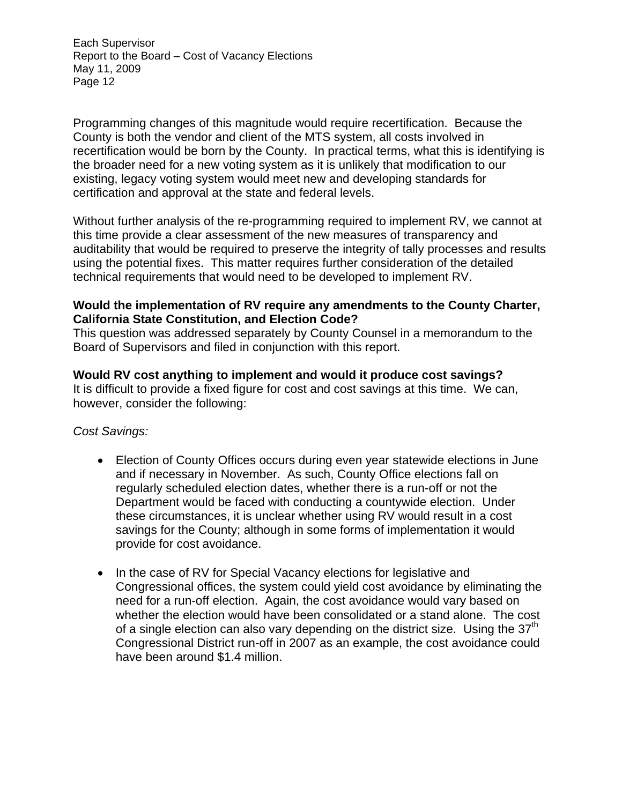Programming changes of this magnitude would require recertification. Because the County is both the vendor and client of the MTS system, all costs involved in recertification would be born by the County. In practical terms, what this is identifying is the broader need for a new voting system as it is unlikely that modification to our existing, legacy voting system would meet new and developing standards for certification and approval at the state and federal levels.

Without further analysis of the re-programming required to implement RV, we cannot at this time provide a clear assessment of the new measures of transparency and auditability that would be required to preserve the integrity of tally processes and results using the potential fixes. This matter requires further consideration of the detailed technical requirements that would need to be developed to implement RV.

#### **Would the implementation of RV require any amendments to the County Charter, California State Constitution, and Election Code?**

This question was addressed separately by County Counsel in a memorandum to the Board of Supervisors and filed in conjunction with this report.

### **Would RV cost anything to implement and would it produce cost savings?**

It is difficult to provide a fixed figure for cost and cost savings at this time. We can, however, consider the following:

#### *Cost Savings:*

- Election of County Offices occurs during even year statewide elections in June and if necessary in November. As such, County Office elections fall on regularly scheduled election dates, whether there is a run-off or not the Department would be faced with conducting a countywide election. Under these circumstances, it is unclear whether using RV would result in a cost savings for the County; although in some forms of implementation it would provide for cost avoidance.
- In the case of RV for Special Vacancy elections for legislative and Congressional offices, the system could yield cost avoidance by eliminating the need for a run-off election. Again, the cost avoidance would vary based on whether the election would have been consolidated or a stand alone. The cost of a single election can also vary depending on the district size. Using the  $37<sup>th</sup>$ Congressional District run-off in 2007 as an example, the cost avoidance could have been around \$1.4 million.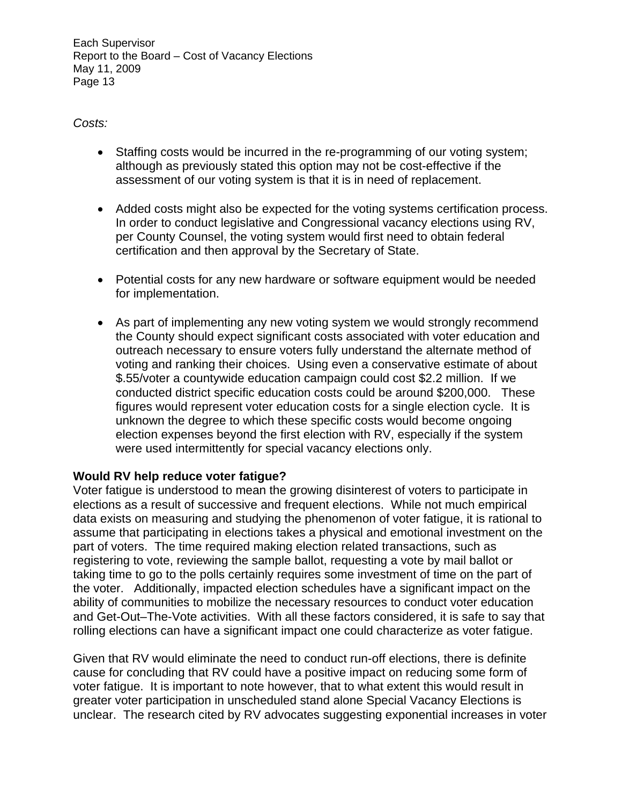*Costs:* 

- Staffing costs would be incurred in the re-programming of our voting system; although as previously stated this option may not be cost-effective if the assessment of our voting system is that it is in need of replacement.
- Added costs might also be expected for the voting systems certification process. In order to conduct legislative and Congressional vacancy elections using RV, per County Counsel, the voting system would first need to obtain federal certification and then approval by the Secretary of State.
- Potential costs for any new hardware or software equipment would be needed for implementation.
- As part of implementing any new voting system we would strongly recommend the County should expect significant costs associated with voter education and outreach necessary to ensure voters fully understand the alternate method of voting and ranking their choices. Using even a conservative estimate of about \$.55/voter a countywide education campaign could cost \$2.2 million. If we conducted district specific education costs could be around \$200,000. These figures would represent voter education costs for a single election cycle. It is unknown the degree to which these specific costs would become ongoing election expenses beyond the first election with RV, especially if the system were used intermittently for special vacancy elections only.

# **Would RV help reduce voter fatigue?**

Voter fatigue is understood to mean the growing disinterest of voters to participate in elections as a result of successive and frequent elections. While not much empirical data exists on measuring and studying the phenomenon of voter fatigue, it is rational to assume that participating in elections takes a physical and emotional investment on the part of voters. The time required making election related transactions, such as registering to vote, reviewing the sample ballot, requesting a vote by mail ballot or taking time to go to the polls certainly requires some investment of time on the part of the voter. Additionally, impacted election schedules have a significant impact on the ability of communities to mobilize the necessary resources to conduct voter education and Get-Out–The-Vote activities. With all these factors considered, it is safe to say that rolling elections can have a significant impact one could characterize as voter fatigue.

Given that RV would eliminate the need to conduct run-off elections, there is definite cause for concluding that RV could have a positive impact on reducing some form of voter fatigue. It is important to note however, that to what extent this would result in greater voter participation in unscheduled stand alone Special Vacancy Elections is unclear. The research cited by RV advocates suggesting exponential increases in voter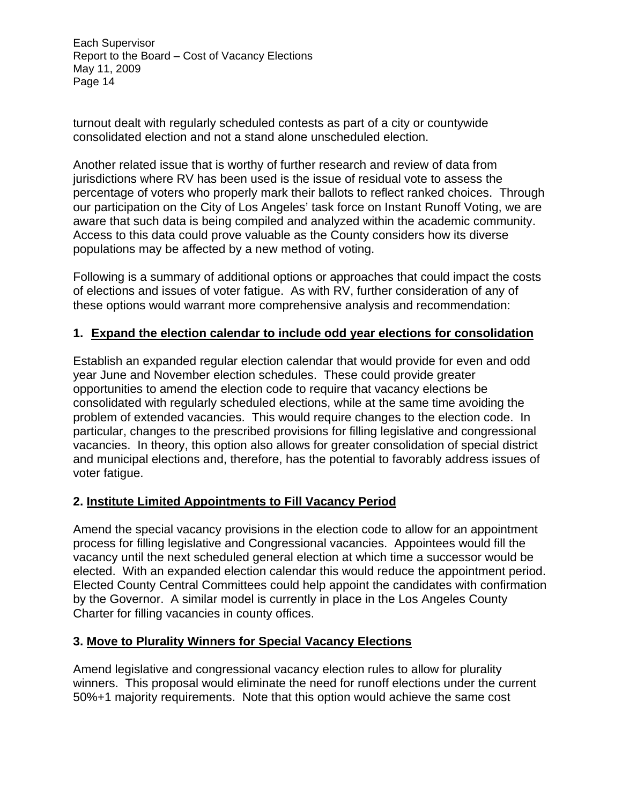turnout dealt with regularly scheduled contests as part of a city or countywide consolidated election and not a stand alone unscheduled election.

Another related issue that is worthy of further research and review of data from jurisdictions where RV has been used is the issue of residual vote to assess the percentage of voters who properly mark their ballots to reflect ranked choices. Through our participation on the City of Los Angeles' task force on Instant Runoff Voting, we are aware that such data is being compiled and analyzed within the academic community. Access to this data could prove valuable as the County considers how its diverse populations may be affected by a new method of voting.

Following is a summary of additional options or approaches that could impact the costs of elections and issues of voter fatigue. As with RV, further consideration of any of these options would warrant more comprehensive analysis and recommendation:

### **1. Expand the election calendar to include odd year elections for consolidation**

Establish an expanded regular election calendar that would provide for even and odd year June and November election schedules. These could provide greater opportunities to amend the election code to require that vacancy elections be consolidated with regularly scheduled elections, while at the same time avoiding the problem of extended vacancies. This would require changes to the election code. In particular, changes to the prescribed provisions for filling legislative and congressional vacancies. In theory, this option also allows for greater consolidation of special district and municipal elections and, therefore, has the potential to favorably address issues of voter fatigue.

#### **2. Institute Limited Appointments to Fill Vacancy Period**

Amend the special vacancy provisions in the election code to allow for an appointment process for filling legislative and Congressional vacancies. Appointees would fill the vacancy until the next scheduled general election at which time a successor would be elected. With an expanded election calendar this would reduce the appointment period. Elected County Central Committees could help appoint the candidates with confirmation by the Governor. A similar model is currently in place in the Los Angeles County Charter for filling vacancies in county offices.

#### **3. Move to Plurality Winners for Special Vacancy Elections**

Amend legislative and congressional vacancy election rules to allow for plurality winners. This proposal would eliminate the need for runoff elections under the current 50%+1 majority requirements. Note that this option would achieve the same cost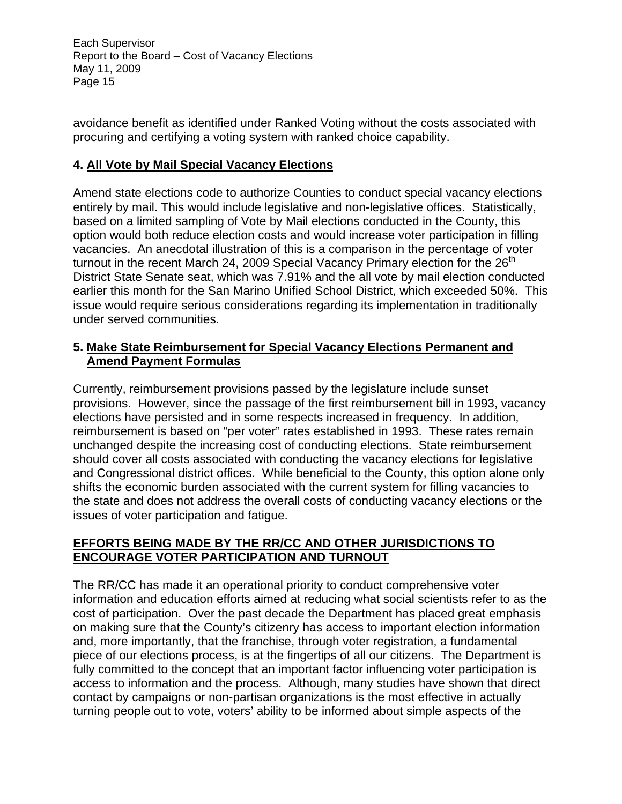avoidance benefit as identified under Ranked Voting without the costs associated with procuring and certifying a voting system with ranked choice capability.

# **4. All Vote by Mail Special Vacancy Elections**

Amend state elections code to authorize Counties to conduct special vacancy elections entirely by mail. This would include legislative and non-legislative offices. Statistically, based on a limited sampling of Vote by Mail elections conducted in the County, this option would both reduce election costs and would increase voter participation in filling vacancies. An anecdotal illustration of this is a comparison in the percentage of voter turnout in the recent March 24, 2009 Special Vacancy Primary election for the  $26<sup>th</sup>$ District State Senate seat, which was 7.91% and the all vote by mail election conducted earlier this month for the San Marino Unified School District, which exceeded 50%. This issue would require serious considerations regarding its implementation in traditionally under served communities.

### **5. Make State Reimbursement for Special Vacancy Elections Permanent and Amend Payment Formulas**

Currently, reimbursement provisions passed by the legislature include sunset provisions. However, since the passage of the first reimbursement bill in 1993, vacancy elections have persisted and in some respects increased in frequency. In addition, reimbursement is based on "per voter" rates established in 1993. These rates remain unchanged despite the increasing cost of conducting elections. State reimbursement should cover all costs associated with conducting the vacancy elections for legislative and Congressional district offices. While beneficial to the County, this option alone only shifts the economic burden associated with the current system for filling vacancies to the state and does not address the overall costs of conducting vacancy elections or the issues of voter participation and fatigue.

# **EFFORTS BEING MADE BY THE RR/CC AND OTHER JURISDICTIONS TO ENCOURAGE VOTER PARTICIPATION AND TURNOUT**

The RR/CC has made it an operational priority to conduct comprehensive voter information and education efforts aimed at reducing what social scientists refer to as the cost of participation. Over the past decade the Department has placed great emphasis on making sure that the County's citizenry has access to important election information and, more importantly, that the franchise, through voter registration, a fundamental piece of our elections process, is at the fingertips of all our citizens. The Department is fully committed to the concept that an important factor influencing voter participation is access to information and the process. Although, many studies have shown that direct contact by campaigns or non-partisan organizations is the most effective in actually turning people out to vote, voters' ability to be informed about simple aspects of the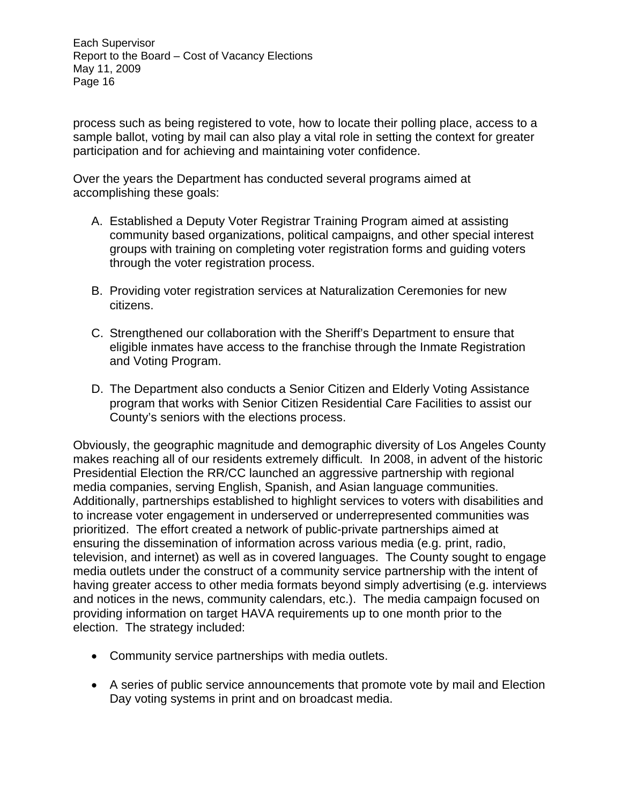process such as being registered to vote, how to locate their polling place, access to a sample ballot, voting by mail can also play a vital role in setting the context for greater participation and for achieving and maintaining voter confidence.

Over the years the Department has conducted several programs aimed at accomplishing these goals:

- A. Established a Deputy Voter Registrar Training Program aimed at assisting community based organizations, political campaigns, and other special interest groups with training on completing voter registration forms and guiding voters through the voter registration process.
- B. Providing voter registration services at Naturalization Ceremonies for new citizens.
- C. Strengthened our collaboration with the Sheriff's Department to ensure that eligible inmates have access to the franchise through the Inmate Registration and Voting Program.
- D. The Department also conducts a Senior Citizen and Elderly Voting Assistance program that works with Senior Citizen Residential Care Facilities to assist our County's seniors with the elections process.

Obviously, the geographic magnitude and demographic diversity of Los Angeles County makes reaching all of our residents extremely difficult. In 2008, in advent of the historic Presidential Election the RR/CC launched an aggressive partnership with regional media companies, serving English, Spanish, and Asian language communities. Additionally, partnerships established to highlight services to voters with disabilities and to increase voter engagement in underserved or underrepresented communities was prioritized. The effort created a network of public-private partnerships aimed at ensuring the dissemination of information across various media (e.g. print, radio, television, and internet) as well as in covered languages. The County sought to engage media outlets under the construct of a community service partnership with the intent of having greater access to other media formats beyond simply advertising (e.g. interviews and notices in the news, community calendars, etc.). The media campaign focused on providing information on target HAVA requirements up to one month prior to the election. The strategy included:

- Community service partnerships with media outlets.
- A series of public service announcements that promote vote by mail and Election Day voting systems in print and on broadcast media.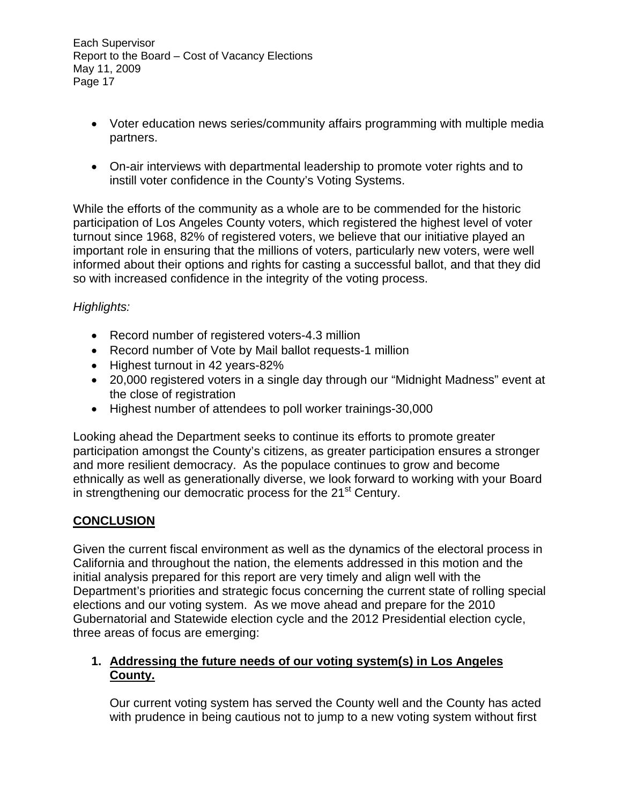- Voter education news series/community affairs programming with multiple media partners.
- On-air interviews with departmental leadership to promote voter rights and to instill voter confidence in the County's Voting Systems.

While the efforts of the community as a whole are to be commended for the historic participation of Los Angeles County voters, which registered the highest level of voter turnout since 1968, 82% of registered voters, we believe that our initiative played an important role in ensuring that the millions of voters, particularly new voters, were well informed about their options and rights for casting a successful ballot, and that they did so with increased confidence in the integrity of the voting process.

# *Highlights:*

- Record number of registered voters-4.3 million
- Record number of Vote by Mail ballot requests-1 million
- Highest turnout in 42 years-82%
- 20,000 registered voters in a single day through our "Midnight Madness" event at the close of registration
- Highest number of attendees to poll worker trainings-30,000

Looking ahead the Department seeks to continue its efforts to promote greater participation amongst the County's citizens, as greater participation ensures a stronger and more resilient democracy. As the populace continues to grow and become ethnically as well as generationally diverse, we look forward to working with your Board in strengthening our democratic process for the  $21<sup>st</sup>$  Century.

# **CONCLUSION**

Given the current fiscal environment as well as the dynamics of the electoral process in California and throughout the nation, the elements addressed in this motion and the initial analysis prepared for this report are very timely and align well with the Department's priorities and strategic focus concerning the current state of rolling special elections and our voting system. As we move ahead and prepare for the 2010 Gubernatorial and Statewide election cycle and the 2012 Presidential election cycle, three areas of focus are emerging:

### **1. Addressing the future needs of our voting system(s) in Los Angeles County.**

Our current voting system has served the County well and the County has acted with prudence in being cautious not to jump to a new voting system without first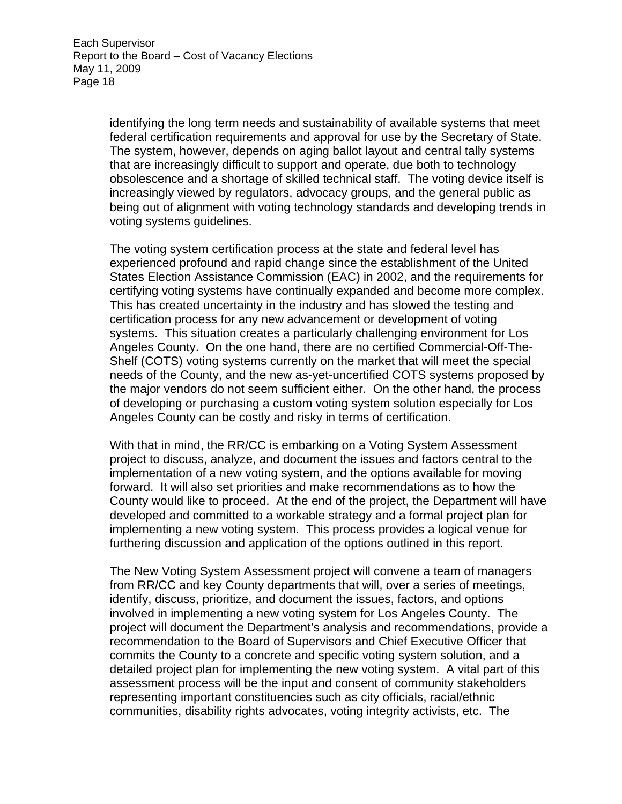identifying the long term needs and sustainability of available systems that meet federal certification requirements and approval for use by the Secretary of State. The system, however, depends on aging ballot layout and central tally systems that are increasingly difficult to support and operate, due both to technology obsolescence and a shortage of skilled technical staff. The voting device itself is increasingly viewed by regulators, advocacy groups, and the general public as being out of alignment with voting technology standards and developing trends in voting systems guidelines.

The voting system certification process at the state and federal level has experienced profound and rapid change since the establishment of the United States Election Assistance Commission (EAC) in 2002, and the requirements for certifying voting systems have continually expanded and become more complex. This has created uncertainty in the industry and has slowed the testing and certification process for any new advancement or development of voting systems. This situation creates a particularly challenging environment for Los Angeles County. On the one hand, there are no certified Commercial-Off-The-Shelf (COTS) voting systems currently on the market that will meet the special needs of the County, and the new as-yet-uncertified COTS systems proposed by the major vendors do not seem sufficient either. On the other hand, the process of developing or purchasing a custom voting system solution especially for Los Angeles County can be costly and risky in terms of certification.

With that in mind, the RR/CC is embarking on a Voting System Assessment project to discuss, analyze, and document the issues and factors central to the implementation of a new voting system, and the options available for moving forward. It will also set priorities and make recommendations as to how the County would like to proceed. At the end of the project, the Department will have developed and committed to a workable strategy and a formal project plan for implementing a new voting system. This process provides a logical venue for furthering discussion and application of the options outlined in this report.

The New Voting System Assessment project will convene a team of managers from RR/CC and key County departments that will, over a series of meetings, identify, discuss, prioritize, and document the issues, factors, and options involved in implementing a new voting system for Los Angeles County. The project will document the Department's analysis and recommendations, provide a recommendation to the Board of Supervisors and Chief Executive Officer that commits the County to a concrete and specific voting system solution, and a detailed project plan for implementing the new voting system. A vital part of this assessment process will be the input and consent of community stakeholders representing important constituencies such as city officials, racial/ethnic communities, disability rights advocates, voting integrity activists, etc. The